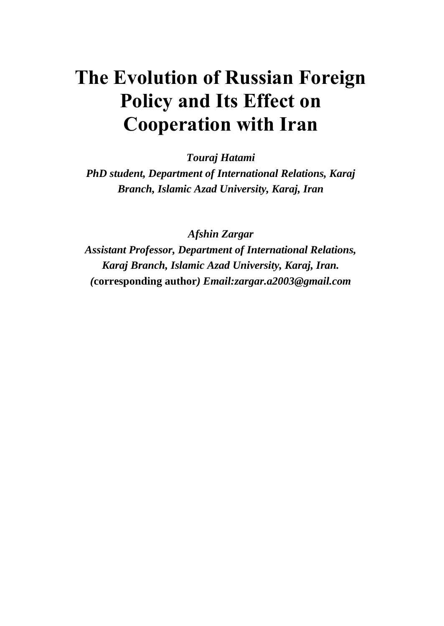# **The Evolution of Russian Foreign Policy and Its Effect on Cooperation with Iran**

*Touraj Hatami*

*PhD student, Department of International Relations, Karaj Branch, Islamic Azad University, Karaj, Iran* 

*Afshin Zargar*

*Assistant Professor, Department of International Relations, Karaj Branch, Islamic Azad University, Karaj, Iran. (***corresponding author***) Email:zargar.a2003@gmail.com*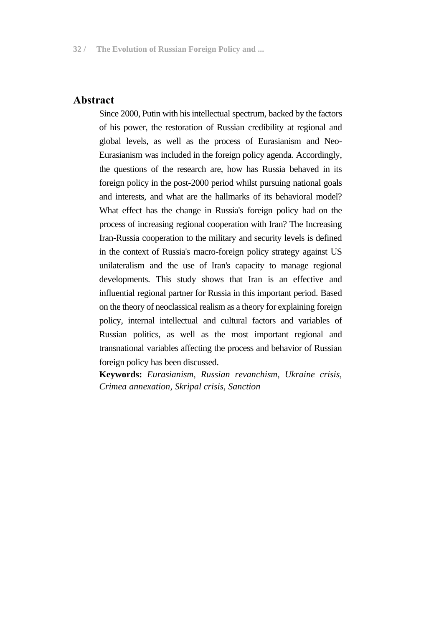#### **Abstract**

Since 2000, Putin with his intellectual spectrum, backed by the factors of his power, the restoration of Russian credibility at regional and global levels, as well as the process of Eurasianism and Neo-Eurasianism was included in the foreign policy agenda. Accordingly, the questions of the research are, how has Russia behaved in its foreign policy in the post-2000 period whilst pursuing national goals and interests, and what are the hallmarks of its behavioral model? What effect has the change in Russia's foreign policy had on the process of increasing regional cooperation with Iran? The Increasing Iran-Russia cooperation to the military and security levels is defined in the context of Russia's macro-foreign policy strategy against US unilateralism and the use of Iran's capacity to manage regional developments. This study shows that Iran is an effective and influential regional partner for Russia in this important period. Based on the theory of neoclassical realism as a theory for explaining foreign policy, internal intellectual and cultural factors and variables of Russian politics, as well as the most important regional and transnational variables affecting the process and behavior of Russian foreign policy has been discussed.

**Keywords:** *Eurasianism, Russian revanchism, Ukraine crisis, Crimea annexation, Skripal crisis, Sanction*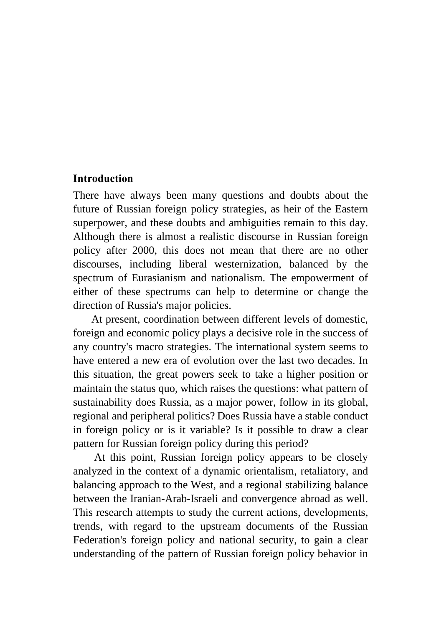#### **Introduction**

There have always been many questions and doubts about the future of Russian foreign policy strategies, as heir of the Eastern superpower, and these doubts and ambiguities remain to this day. Although there is almost a realistic discourse in Russian foreign policy after 2000, this does not mean that there are no other discourses, including liberal westernization, balanced by the spectrum of Eurasianism and nationalism. The empowerment of either of these spectrums can help to determine or change the direction of Russia's major policies.

At present, coordination between different levels of domestic, foreign and economic policy plays a decisive role in the success of any country's macro strategies. The international system seems to have entered a new era of evolution over the last two decades. In this situation, the great powers seek to take a higher position or maintain the status quo, which raises the questions: what pattern of sustainability does Russia, as a major power, follow in its global, regional and peripheral politics? Does Russia have a stable conduct in foreign policy or is it variable? Is it possible to draw a clear pattern for Russian foreign policy during this period?

At this point, Russian foreign policy appears to be closely analyzed in the context of a dynamic orientalism, retaliatory, and balancing approach to the West, and a regional stabilizing balance between the Iranian-Arab-Israeli and convergence abroad as well. This research attempts to study the current actions, developments, trends, with regard to the upstream documents of the Russian Federation's foreign policy and national security, to gain a clear understanding of the pattern of Russian foreign policy behavior in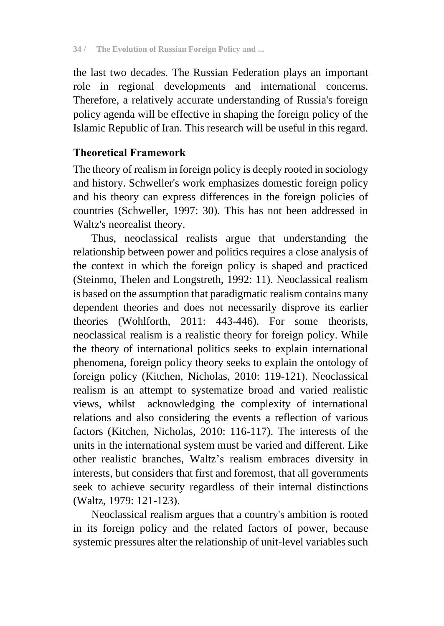the last two decades. The Russian Federation plays an important role in regional developments and international concerns. Therefore, a relatively accurate understanding of Russia's foreign policy agenda will be effective in shaping the foreign policy of the Islamic Republic of Iran. This research will be useful in this regard.

## **Theoretical Framework**

The theory of realism in foreign policy is deeply rooted in sociology and history. Schweller's work emphasizes domestic foreign policy and his theory can express differences in the foreign policies of countries (Schweller, 1997: 30). This has not been addressed in Waltz's neorealist theory.

Thus, neoclassical realists argue that understanding the relationship between power and politics requires a close analysis of the context in which the foreign policy is shaped and practiced (Steinmo, Thelen and Longstreth, 1992: 11). Neoclassical realism is based on the assumption that paradigmatic realism contains many dependent theories and does not necessarily disprove its earlier theories (Wohlforth, 2011: 443-446). For some theorists, neoclassical realism is a realistic theory for foreign policy. While the theory of international politics seeks to explain international phenomena, foreign policy theory seeks to explain the ontology of foreign policy (Kitchen, Nicholas, 2010: 119-121). Neoclassical realism is an attempt to systematize broad and varied realistic views, whilst acknowledging the complexity of international relations and also considering the events a reflection of various factors (Kitchen, Nicholas, 2010: 116-117). The interests of the units in the international system must be varied and different. Like other realistic branches, Waltz's realism embraces diversity in interests, but considers that first and foremost, that all governments seek to achieve security regardless of their internal distinctions (Waltz, 1979: 121-123).

Neoclassical realism argues that a country's ambition is rooted in its foreign policy and the related factors of power, because systemic pressures alter the relationship of unit-level variables such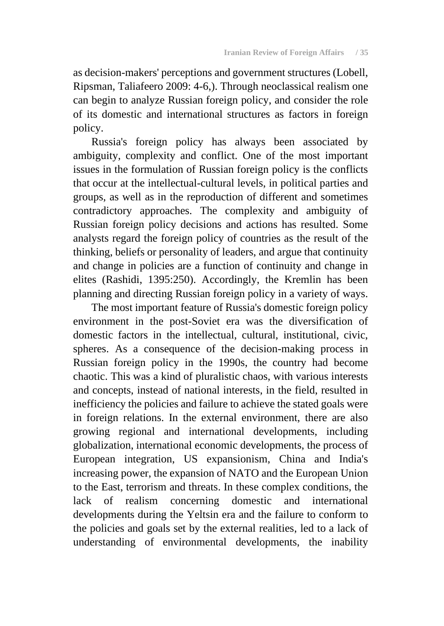as decision-makers' perceptions and government structures (Lobell, Ripsman, Taliafeero 2009: 4-6,). Through neoclassical realism one can begin to analyze Russian foreign policy, and consider the role of its domestic and international structures as factors in foreign policy.

Russia's foreign policy has always been associated by ambiguity, complexity and conflict. One of the most important issues in the formulation of Russian foreign policy is the conflicts that occur at the intellectual-cultural levels, in political parties and groups, as well as in the reproduction of different and sometimes contradictory approaches. The complexity and ambiguity of Russian foreign policy decisions and actions has resulted. Some analysts regard the foreign policy of countries as the result of the thinking, beliefs or personality of leaders, and argue that continuity and change in policies are a function of continuity and change in elites (Rashidi, 1395:250). Accordingly, the Kremlin has been planning and directing Russian foreign policy in a variety of ways.

The most important feature of Russia's domestic foreign policy environment in the post-Soviet era was the diversification of domestic factors in the intellectual, cultural, institutional, civic, spheres. As a consequence of the decision-making process in Russian foreign policy in the 1990s, the country had become chaotic. This was a kind of pluralistic chaos, with various interests and concepts, instead of national interests, in the field, resulted in inefficiency the policies and failure to achieve the stated goals were in foreign relations. In the external environment, there are also growing regional and international developments, including globalization, international economic developments, the process of European integration, US expansionism, China and India's increasing power, the expansion of NATO and the European Union to the East, terrorism and threats. In these complex conditions, the lack of realism concerning domestic and international developments during the Yeltsin era and the failure to conform to the policies and goals set by the external realities, led to a lack of understanding of environmental developments, the inability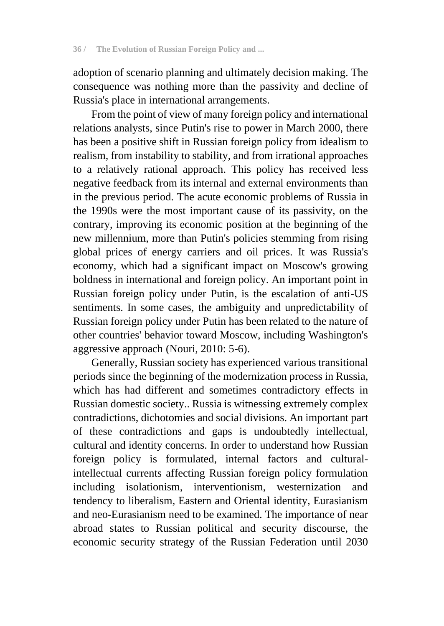adoption of scenario planning and ultimately decision making. The consequence was nothing more than the passivity and decline of Russia's place in international arrangements.

From the point of view of many foreign policy and international relations analysts, since Putin's rise to power in March 2000, there has been a positive shift in Russian foreign policy from idealism to realism, from instability to stability, and from irrational approaches to a relatively rational approach. This policy has received less negative feedback from its internal and external environments than in the previous period. The acute economic problems of Russia in the 1990s were the most important cause of its passivity, on the contrary, improving its economic position at the beginning of the new millennium, more than Putin's policies stemming from rising global prices of energy carriers and oil prices. It was Russia's economy, which had a significant impact on Moscow's growing boldness in international and foreign policy. An important point in Russian foreign policy under Putin, is the escalation of anti-US sentiments. In some cases, the ambiguity and unpredictability of Russian foreign policy under Putin has been related to the nature of other countries' behavior toward Moscow, including Washington's aggressive approach (Nouri, 2010: 5-6).

Generally, Russian society has experienced various transitional periods since the beginning of the modernization process in Russia, which has had different and sometimes contradictory effects in Russian domestic society.. Russia is witnessing extremely complex contradictions, dichotomies and social divisions. An important part of these contradictions and gaps is undoubtedly intellectual, cultural and identity concerns. In order to understand how Russian foreign policy is formulated, internal factors and culturalintellectual currents affecting Russian foreign policy formulation including isolationism, interventionism, westernization and tendency to liberalism, Eastern and Oriental identity, Eurasianism and neo-Eurasianism need to be examined. The importance of near abroad states to Russian political and security discourse, the economic security strategy of the Russian Federation until 2030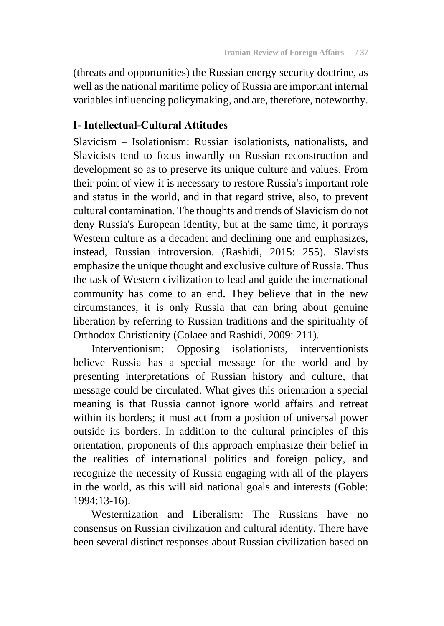(threats and opportunities) the Russian energy security doctrine, as well as the national maritime policy of Russia are important internal variables influencing policymaking, and are, therefore, noteworthy.

#### **I- Intellectual-Cultural Attitudes**

Slavicism – Isolationism: Russian isolationists, nationalists, and Slavicists tend to focus inwardly on Russian reconstruction and development so as to preserve its unique culture and values. From their point of view it is necessary to restore Russia's important role and status in the world, and in that regard strive, also, to prevent cultural contamination. The thoughts and trends of Slavicism do not deny Russia's European identity, but at the same time, it portrays Western culture as a decadent and declining one and emphasizes, instead, Russian introversion. (Rashidi, 2015: 255). Slavists emphasize the unique thought and exclusive culture of Russia. Thus the task of Western civilization to lead and guide the international community has come to an end. They believe that in the new circumstances, it is only Russia that can bring about genuine liberation by referring to Russian traditions and the spirituality of Orthodox Christianity (Colaee and Rashidi, 2009: 211).

Interventionism: Opposing isolationists, interventionists believe Russia has a special message for the world and by presenting interpretations of Russian history and culture, that message could be circulated. What gives this orientation a special meaning is that Russia cannot ignore world affairs and retreat within its borders; it must act from a position of universal power outside its borders. In addition to the cultural principles of this orientation, proponents of this approach emphasize their belief in the realities of international politics and foreign policy, and recognize the necessity of Russia engaging with all of the players in the world, as this will aid national goals and interests (Goble: 1994:13-16).

Westernization and Liberalism: The Russians have no consensus on Russian civilization and cultural identity. There have been several distinct responses about Russian civilization based on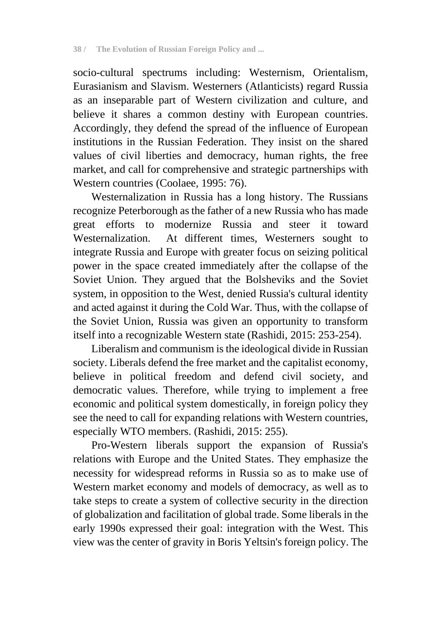socio-cultural spectrums including: Westernism, Orientalism, Eurasianism and Slavism. Westerners (Atlanticists) regard Russia as an inseparable part of Western civilization and culture, and believe it shares a common destiny with European countries. Accordingly, they defend the spread of the influence of European institutions in the Russian Federation. They insist on the shared values of civil liberties and democracy, human rights, the free market, and call for comprehensive and strategic partnerships with Western countries (Coolaee, 1995: 76).

Westernalization in Russia has a long history. The Russians recognize Peterborough as the father of a new Russia who has made great efforts to modernize Russia and steer it toward Westernalization. At different times, Westerners sought to integrate Russia and Europe with greater focus on seizing political power in the space created immediately after the collapse of the Soviet Union. They argued that the Bolsheviks and the Soviet system, in opposition to the West, denied Russia's cultural identity and acted against it during the Cold War. Thus, with the collapse of the Soviet Union, Russia was given an opportunity to transform itself into a recognizable Western state (Rashidi, 2015: 253-254).

Liberalism and communism is the ideological divide in Russian society. Liberals defend the free market and the capitalist economy, believe in political freedom and defend civil society, and democratic values. Therefore, while trying to implement a free economic and political system domestically, in foreign policy they see the need to call for expanding relations with Western countries, especially WTO members. (Rashidi, 2015: 255).

Pro-Western liberals support the expansion of Russia's relations with Europe and the United States. They emphasize the necessity for widespread reforms in Russia so as to make use of Western market economy and models of democracy, as well as to take steps to create a system of collective security in the direction of globalization and facilitation of global trade. Some liberals in the early 1990s expressed their goal: integration with the West. This view was the center of gravity in Boris Yeltsin's foreign policy. The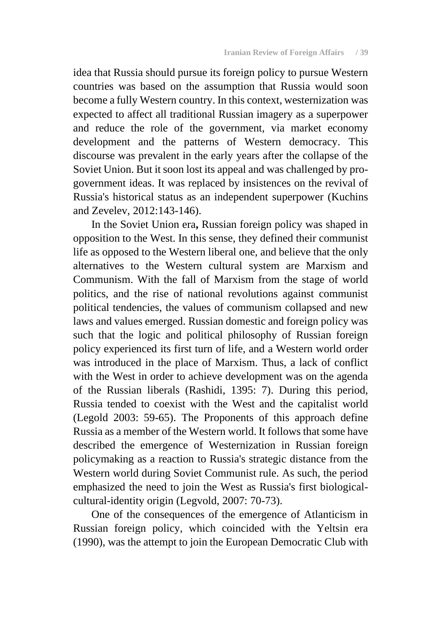idea that Russia should pursue its foreign policy to pursue Western countries was based on the assumption that Russia would soon become a fully Western country. In this context, westernization was expected to affect all traditional Russian imagery as a superpower and reduce the role of the government, via market economy development and the patterns of Western democracy. This discourse was prevalent in the early years after the collapse of the Soviet Union. But it soon lost its appeal and was challenged by progovernment ideas. It was replaced by insistences on the revival of Russia's historical status as an independent superpower (Kuchins and Zevelev, 2012:143-146).

In the Soviet Union era**,** Russian foreign policy was shaped in opposition to the West. In this sense, they defined their communist life as opposed to the Western liberal one, and believe that the only alternatives to the Western cultural system are Marxism and Communism. With the fall of Marxism from the stage of world politics, and the rise of national revolutions against communist political tendencies, the values of communism collapsed and new laws and values emerged. Russian domestic and foreign policy was such that the logic and political philosophy of Russian foreign policy experienced its first turn of life, and a Western world order was introduced in the place of Marxism. Thus, a lack of conflict with the West in order to achieve development was on the agenda of the Russian liberals (Rashidi, 1395: 7). During this period, Russia tended to coexist with the West and the capitalist world (Legold 2003: 59-65). The Proponents of this approach define Russia as a member of the Western world. It follows that some have described the emergence of Westernization in Russian foreign policymaking as a reaction to Russia's strategic distance from the Western world during Soviet Communist rule. As such, the period emphasized the need to join the West as Russia's first biologicalcultural-identity origin (Legvold, 2007: 70-73).

One of the consequences of the emergence of Atlanticism in Russian foreign policy, which coincided with the Yeltsin era (1990), was the attempt to join the European Democratic Club with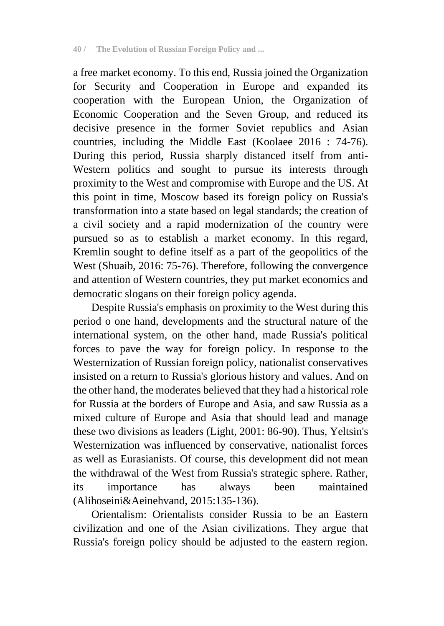a free market economy. To this end, Russia joined the Organization for Security and Cooperation in Europe and expanded its cooperation with the European Union, the Organization of Economic Cooperation and the Seven Group, and reduced its decisive presence in the former Soviet republics and Asian countries, including the Middle East (Koolaee 2016 : 74-76). During this period, Russia sharply distanced itself from anti-Western politics and sought to pursue its interests through proximity to the West and compromise with Europe and the US. At this point in time, Moscow based its foreign policy on Russia's transformation into a state based on legal standards; the creation of a civil society and a rapid modernization of the country were pursued so as to establish a market economy. In this regard, Kremlin sought to define itself as a part of the geopolitics of the West (Shuaib, 2016: 75-76). Therefore, following the convergence and attention of Western countries, they put market economics and democratic slogans on their foreign policy agenda.

Despite Russia's emphasis on proximity to the West during this period o one hand, developments and the structural nature of the international system, on the other hand, made Russia's political forces to pave the way for foreign policy. In response to the Westernization of Russian foreign policy, nationalist conservatives insisted on a return to Russia's glorious history and values. And on the other hand, the moderates believed that they had a historical role for Russia at the borders of Europe and Asia, and saw Russia as a mixed culture of Europe and Asia that should lead and manage these two divisions as leaders (Light, 2001: 86-90). Thus, Yeltsin's Westernization was influenced by conservative, nationalist forces as well as Eurasianists. Of course, this development did not mean the withdrawal of the West from Russia's strategic sphere. Rather, its importance has always been maintained (Alihoseini&Aeinehvand, 2015:135-136).

Orientalism: Orientalists consider Russia to be an Eastern civilization and one of the Asian civilizations. They argue that Russia's foreign policy should be adjusted to the eastern region.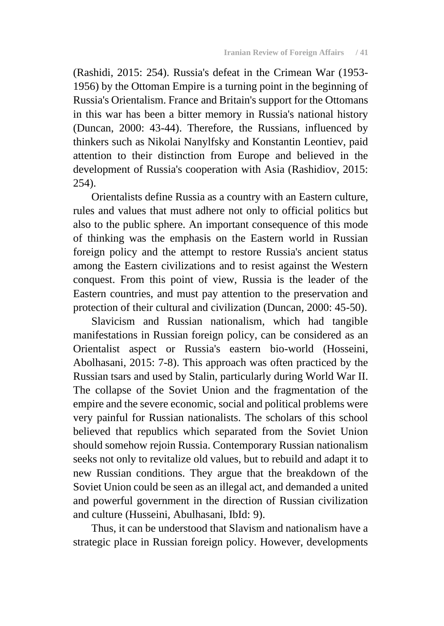(Rashidi, 2015: 254). Russia's defeat in the Crimean War (1953- 1956) by the Ottoman Empire is a turning point in the beginning of Russia's Orientalism. France and Britain's support for the Ottomans in this war has been a bitter memory in Russia's national history (Duncan, 2000: 43-44). Therefore, the Russians, influenced by thinkers such as Nikolai Nanylfsky and Konstantin Leontiev, paid attention to their distinction from Europe and believed in the development of Russia's cooperation with Asia (Rashidiov, 2015: 254).

Orientalists define Russia as a country with an Eastern culture, rules and values that must adhere not only to official politics but also to the public sphere. An important consequence of this mode of thinking was the emphasis on the Eastern world in Russian foreign policy and the attempt to restore Russia's ancient status among the Eastern civilizations and to resist against the Western conquest. From this point of view, Russia is the leader of the Eastern countries, and must pay attention to the preservation and protection of their cultural and civilization (Duncan, 2000: 45-50).

Slavicism and Russian nationalism, which had tangible manifestations in Russian foreign policy, can be considered as an Orientalist aspect or Russia's eastern bio-world (Hosseini, Abolhasani, 2015: 7-8). This approach was often practiced by the Russian tsars and used by Stalin, particularly during World War II. The collapse of the Soviet Union and the fragmentation of the empire and the severe economic, social and political problems were very painful for Russian nationalists. The scholars of this school believed that republics which separated from the Soviet Union should somehow rejoin Russia. Contemporary Russian nationalism seeks not only to revitalize old values, but to rebuild and adapt it to new Russian conditions. They argue that the breakdown of the Soviet Union could be seen as an illegal act, and demanded a united and powerful government in the direction of Russian civilization and culture (Husseini, Abulhasani, IbId: 9).

Thus, it can be understood that Slavism and nationalism have a strategic place in Russian foreign policy. However, developments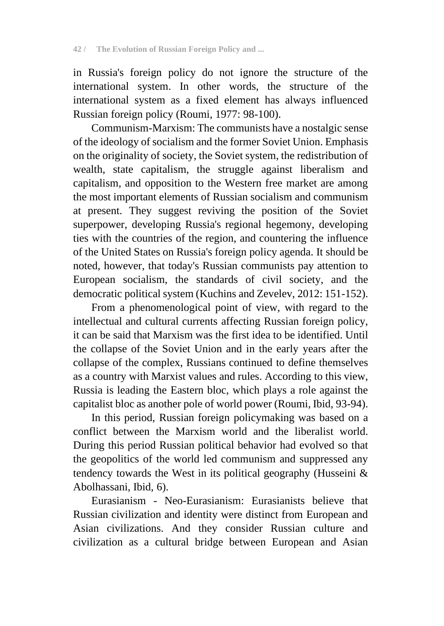in Russia's foreign policy do not ignore the structure of the international system. In other words, the structure of the international system as a fixed element has always influenced Russian foreign policy (Roumi, 1977: 98-100).

Communism-Marxism: The communists have a nostalgic sense of the ideology of socialism and the former Soviet Union. Emphasis on the originality of society, the Soviet system, the redistribution of wealth, state capitalism, the struggle against liberalism and capitalism, and opposition to the Western free market are among the most important elements of Russian socialism and communism at present. They suggest reviving the position of the Soviet superpower, developing Russia's regional hegemony, developing ties with the countries of the region, and countering the influence of the United States on Russia's foreign policy agenda. It should be noted, however, that today's Russian communists pay attention to European socialism, the standards of civil society, and the democratic political system (Kuchins and Zevelev, 2012: 151-152).

From a phenomenological point of view, with regard to the intellectual and cultural currents affecting Russian foreign policy, it can be said that Marxism was the first idea to be identified. Until the collapse of the Soviet Union and in the early years after the collapse of the complex, Russians continued to define themselves as a country with Marxist values and rules. According to this view, Russia is leading the Eastern bloc, which plays a role against the capitalist bloc as another pole of world power (Roumi, Ibid, 93-94).

In this period, Russian foreign policymaking was based on a conflict between the Marxism world and the liberalist world. During this period Russian political behavior had evolved so that the geopolitics of the world led communism and suppressed any tendency towards the West in its political geography (Husseini  $\&$ Abolhassani, Ibid, 6).

Eurasianism - Neo-Eurasianism: Eurasianists believe that Russian civilization and identity were distinct from European and Asian civilizations. And they consider Russian culture and civilization as a cultural bridge between European and Asian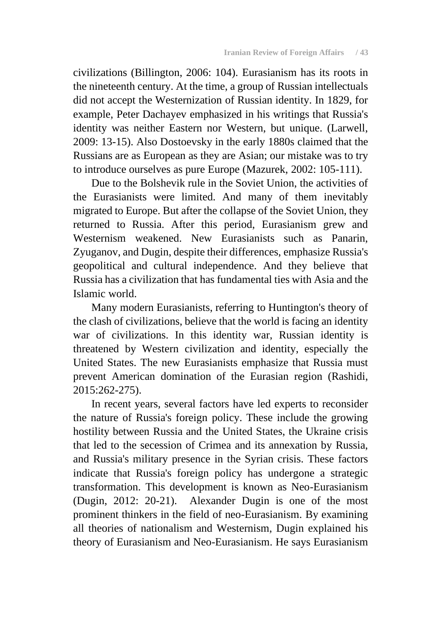civilizations (Billington, 2006: 104). Eurasianism has its roots in the nineteenth century. At the time, a group of Russian intellectuals did not accept the Westernization of Russian identity. In 1829, for example, Peter Dachayev emphasized in his writings that Russia's identity was neither Eastern nor Western, but unique. (Larwell, 2009: 13-15). Also Dostoevsky in the early 1880s claimed that the Russians are as European as they are Asian; our mistake was to try to introduce ourselves as pure Europe (Mazurek, 2002: 105-111).

Due to the Bolshevik rule in the Soviet Union, the activities of the Eurasianists were limited. And many of them inevitably migrated to Europe. But after the collapse of the Soviet Union, they returned to Russia. After this period, Eurasianism grew and Westernism weakened. New Eurasianists such as Panarin, Zyuganov, and Dugin, despite their differences, emphasize Russia's geopolitical and cultural independence. And they believe that Russia has a civilization that has fundamental ties with Asia and the Islamic world.

Many modern Eurasianists, referring to Huntington's theory of the clash of civilizations, believe that the world is facing an identity war of civilizations. In this identity war, Russian identity is threatened by Western civilization and identity, especially the United States. The new Eurasianists emphasize that Russia must prevent American domination of the Eurasian region (Rashidi, 2015:262-275).

In recent years, several factors have led experts to reconsider the nature of Russia's foreign policy. These include the growing hostility between Russia and the United States, the Ukraine crisis that led to the secession of Crimea and its annexation by Russia, and Russia's military presence in the Syrian crisis. These factors indicate that Russia's foreign policy has undergone a strategic transformation. This development is known as Neo-Eurasianism (Dugin, 2012: 20-21). Alexander Dugin is one of the most prominent thinkers in the field of neo-Eurasianism. By examining all theories of nationalism and Westernism, Dugin explained his theory of Eurasianism and Neo-Eurasianism. He says Eurasianism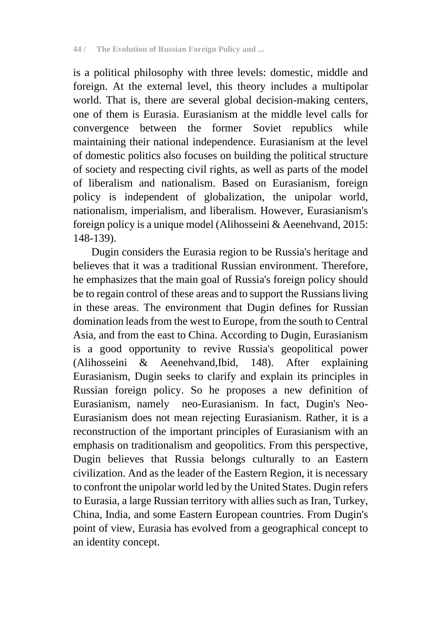is a political philosophy with three levels: domestic, middle and foreign. At the external level, this theory includes a multipolar world. That is, there are several global decision-making centers, one of them is Eurasia. Eurasianism at the middle level calls for convergence between the former Soviet republics while maintaining their national independence. Eurasianism at the level of domestic politics also focuses on building the political structure of society and respecting civil rights, as well as parts of the model of liberalism and nationalism. Based on Eurasianism, foreign policy is independent of globalization, the unipolar world, nationalism, imperialism, and liberalism. However, Eurasianism's foreign policy is a unique model (Alihosseini & Aeenehvand, 2015: 148-139).

Dugin considers the Eurasia region to be Russia's heritage and believes that it was a traditional Russian environment. Therefore, he emphasizes that the main goal of Russia's foreign policy should be to regain control of these areas and to support the Russians living in these areas. The environment that Dugin defines for Russian domination leads from the west to Europe, from the south to Central Asia, and from the east to China. According to Dugin, Eurasianism is a good opportunity to revive Russia's geopolitical power (Alihosseini & Aeenehvand,Ibid, 148). After explaining Eurasianism, Dugin seeks to clarify and explain its principles in Russian foreign policy. So he proposes a new definition of Eurasianism, namely neo-Eurasianism. In fact, Dugin's Neo-Eurasianism does not mean rejecting Eurasianism. Rather, it is a reconstruction of the important principles of Eurasianism with an emphasis on traditionalism and geopolitics. From this perspective, Dugin believes that Russia belongs culturally to an Eastern civilization. And as the leader of the Eastern Region, it is necessary to confront the unipolar world led by the United States. Dugin refers to Eurasia, a large Russian territory with allies such as Iran, Turkey, China, India, and some Eastern European countries. From Dugin's point of view, Eurasia has evolved from a geographical concept to an identity concept.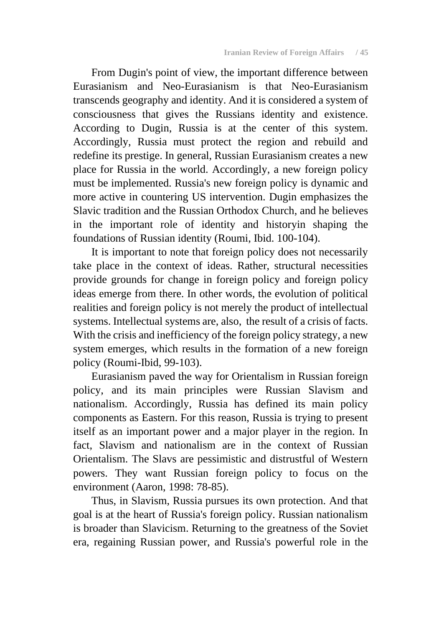From Dugin's point of view, the important difference between Eurasianism and Neo-Eurasianism is that Neo-Eurasianism transcends geography and identity. And it is considered a system of consciousness that gives the Russians identity and existence. According to Dugin, Russia is at the center of this system. Accordingly, Russia must protect the region and rebuild and redefine its prestige. In general, Russian Eurasianism creates a new place for Russia in the world. Accordingly, a new foreign policy must be implemented. Russia's new foreign policy is dynamic and more active in countering US intervention. Dugin emphasizes the Slavic tradition and the Russian Orthodox Church, and he believes in the important role of identity and historyin shaping the foundations of Russian identity (Roumi, Ibid. 100-104).

It is important to note that foreign policy does not necessarily take place in the context of ideas. Rather, structural necessities provide grounds for change in foreign policy and foreign policy ideas emerge from there. In other words, the evolution of political realities and foreign policy is not merely the product of intellectual systems. Intellectual systems are, also, the result of a crisis of facts. With the crisis and inefficiency of the foreign policy strategy, a new system emerges, which results in the formation of a new foreign policy (Roumi-Ibid, 99-103).

Eurasianism paved the way for Orientalism in Russian foreign policy, and its main principles were Russian Slavism and nationalism. Accordingly, Russia has defined its main policy components as Eastern. For this reason, Russia is trying to present itself as an important power and a major player in the region. In fact, Slavism and nationalism are in the context of Russian Orientalism. The Slavs are pessimistic and distrustful of Western powers. They want Russian foreign policy to focus on the environment (Aaron, 1998: 78-85).

Thus, in Slavism, Russia pursues its own protection. And that goal is at the heart of Russia's foreign policy. Russian nationalism is broader than Slavicism. Returning to the greatness of the Soviet era, regaining Russian power, and Russia's powerful role in the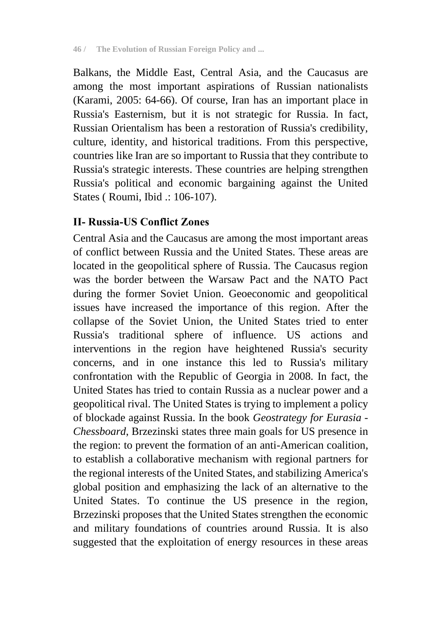Balkans, the Middle East, Central Asia, and the Caucasus are among the most important aspirations of Russian nationalists (Karami, 2005: 64-66). Of course, Iran has an important place in Russia's Easternism, but it is not strategic for Russia. In fact, Russian Orientalism has been a restoration of Russia's credibility, culture, identity, and historical traditions. From this perspective, countries like Iran are so important to Russia that they contribute to Russia's strategic interests. These countries are helping strengthen Russia's political and economic bargaining against the United States ( Roumi, Ibid .: 106-107).

## **II- Russia-US Conflict Zones**

Central Asia and the Caucasus are among the most important areas of conflict between Russia and the United States. These areas are located in the geopolitical sphere of Russia. The Caucasus region was the border between the Warsaw Pact and the NATO Pact during the former Soviet Union. Geoeconomic and geopolitical issues have increased the importance of this region. After the collapse of the Soviet Union, the United States tried to enter Russia's traditional sphere of influence. US actions and interventions in the region have heightened Russia's security concerns, and in one instance this led to Russia's military confrontation with the Republic of Georgia in 2008. In fact, the United States has tried to contain Russia as a nuclear power and a geopolitical rival. The United States is trying to implement a policy of blockade against Russia. In the book *Geostrategy for Eurasia - Chessboard*, Brzezinski states three main goals for US presence in the region: to prevent the formation of an anti-American coalition, to establish a collaborative mechanism with regional partners for the regional interests of the United States, and stabilizing America's global position and emphasizing the lack of an alternative to the United States. To continue the US presence in the region, Brzezinski proposes that the United States strengthen the economic and military foundations of countries around Russia. It is also suggested that the exploitation of energy resources in these areas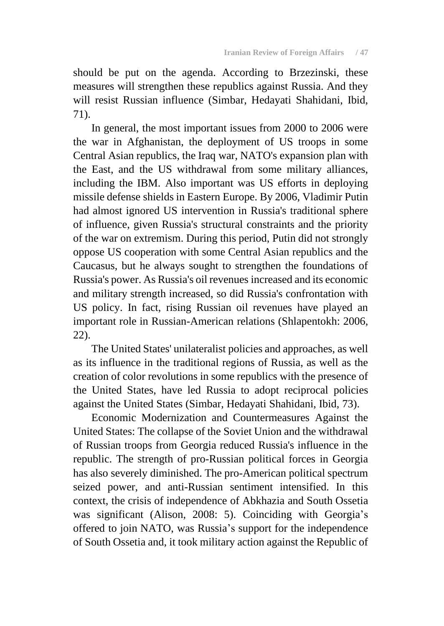should be put on the agenda. According to Brzezinski, these measures will strengthen these republics against Russia. And they will resist Russian influence (Simbar, Hedayati Shahidani, Ibid, 71).

In general, the most important issues from 2000 to 2006 were the war in Afghanistan, the deployment of US troops in some Central Asian republics, the Iraq war, NATO's expansion plan with the East, and the US withdrawal from some military alliances, including the IBM. Also important was US efforts in deploying missile defense shields in Eastern Europe. By 2006, Vladimir Putin had almost ignored US intervention in Russia's traditional sphere of influence, given Russia's structural constraints and the priority of the war on extremism. During this period, Putin did not strongly oppose US cooperation with some Central Asian republics and the Caucasus, but he always sought to strengthen the foundations of Russia's power. As Russia's oil revenues increased and its economic and military strength increased, so did Russia's confrontation with US policy. In fact, rising Russian oil revenues have played an important role in Russian-American relations (Shlapentokh: 2006, 22).

The United States' unilateralist policies and approaches, as well as its influence in the traditional regions of Russia, as well as the creation of color revolutions in some republics with the presence of the United States, have led Russia to adopt reciprocal policies against the United States (Simbar, Hedayati Shahidani, Ibid, 73).

Economic Modernization and Countermeasures Against the United States: The collapse of the Soviet Union and the withdrawal of Russian troops from Georgia reduced Russia's influence in the republic. The strength of pro-Russian political forces in Georgia has also severely diminished. The pro-American political spectrum seized power, and anti-Russian sentiment intensified. In this context, the crisis of independence of Abkhazia and South Ossetia was significant (Alison, 2008: 5). Coinciding with Georgia's offered to join NATO, was Russia's support for the independence of South Ossetia and, it took military action against the Republic of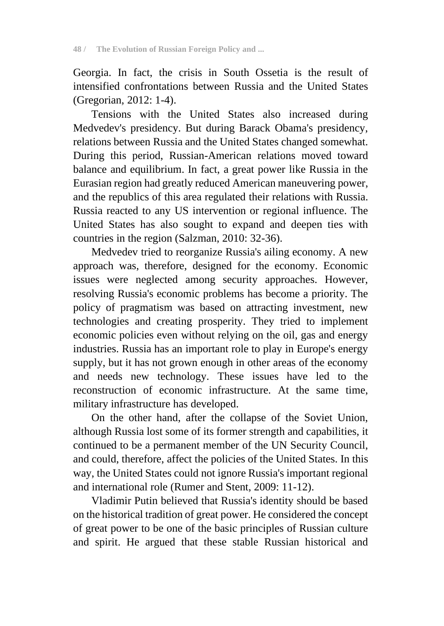Georgia. In fact, the crisis in South Ossetia is the result of intensified confrontations between Russia and the United States (Gregorian, 2012: 1-4).

Tensions with the United States also increased during Medvedev's presidency. But during Barack Obama's presidency, relations between Russia and the United States changed somewhat. During this period, Russian-American relations moved toward balance and equilibrium. In fact, a great power like Russia in the Eurasian region had greatly reduced American maneuvering power, and the republics of this area regulated their relations with Russia. Russia reacted to any US intervention or regional influence. The United States has also sought to expand and deepen ties with countries in the region (Salzman, 2010: 32-36).

Medvedev tried to reorganize Russia's ailing economy. A new approach was, therefore, designed for the economy. Economic issues were neglected among security approaches. However, resolving Russia's economic problems has become a priority. The policy of pragmatism was based on attracting investment, new technologies and creating prosperity. They tried to implement economic policies even without relying on the oil, gas and energy industries. Russia has an important role to play in Europe's energy supply, but it has not grown enough in other areas of the economy and needs new technology. These issues have led to the reconstruction of economic infrastructure. At the same time, military infrastructure has developed.

On the other hand, after the collapse of the Soviet Union, although Russia lost some of its former strength and capabilities, it continued to be a permanent member of the UN Security Council, and could, therefore, affect the policies of the United States. In this way, the United States could not ignore Russia's important regional and international role (Rumer and Stent, 2009: 11-12).

Vladimir Putin believed that Russia's identity should be based on the historical tradition of great power. He considered the concept of great power to be one of the basic principles of Russian culture and spirit. He argued that these stable Russian historical and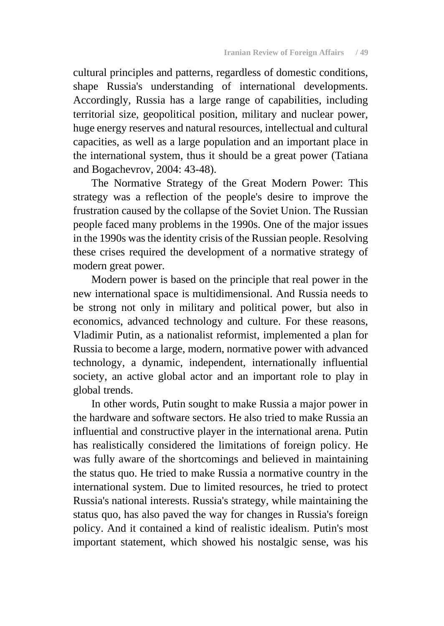cultural principles and patterns, regardless of domestic conditions, shape Russia's understanding of international developments. Accordingly, Russia has a large range of capabilities, including territorial size, geopolitical position, military and nuclear power, huge energy reserves and natural resources, intellectual and cultural capacities, as well as a large population and an important place in the international system, thus it should be a great power (Tatiana and Bogachevrov, 2004: 43-48).

The Normative Strategy of the Great Modern Power: This strategy was a reflection of the people's desire to improve the frustration caused by the collapse of the Soviet Union. The Russian people faced many problems in the 1990s. One of the major issues in the 1990s was the identity crisis of the Russian people. Resolving these crises required the development of a normative strategy of modern great power.

Modern power is based on the principle that real power in the new international space is multidimensional. And Russia needs to be strong not only in military and political power, but also in economics, advanced technology and culture. For these reasons, Vladimir Putin, as a nationalist reformist, implemented a plan for Russia to become a large, modern, normative power with advanced technology, a dynamic, independent, internationally influential society, an active global actor and an important role to play in global trends.

In other words, Putin sought to make Russia a major power in the hardware and software sectors. He also tried to make Russia an influential and constructive player in the international arena. Putin has realistically considered the limitations of foreign policy. He was fully aware of the shortcomings and believed in maintaining the status quo. He tried to make Russia a normative country in the international system. Due to limited resources, he tried to protect Russia's national interests. Russia's strategy, while maintaining the status quo, has also paved the way for changes in Russia's foreign policy. And it contained a kind of realistic idealism. Putin's most important statement, which showed his nostalgic sense, was his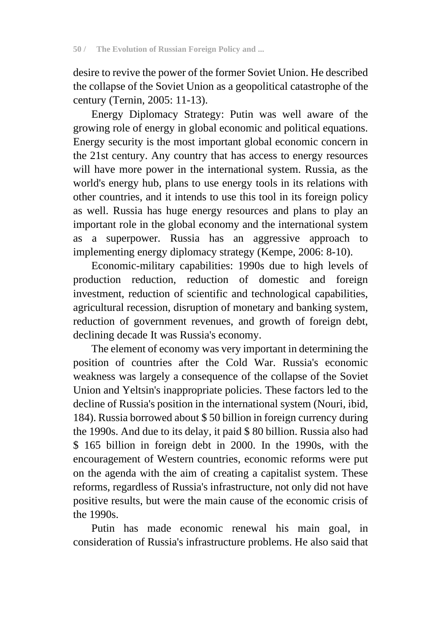desire to revive the power of the former Soviet Union. He described the collapse of the Soviet Union as a geopolitical catastrophe of the century (Ternin, 2005: 11-13).

Energy Diplomacy Strategy: Putin was well aware of the growing role of energy in global economic and political equations. Energy security is the most important global economic concern in the 21st century. Any country that has access to energy resources will have more power in the international system. Russia, as the world's energy hub, plans to use energy tools in its relations with other countries, and it intends to use this tool in its foreign policy as well. Russia has huge energy resources and plans to play an important role in the global economy and the international system as a superpower. Russia has an aggressive approach to implementing energy diplomacy strategy (Kempe, 2006: 8-10).

Economic-military capabilities: 1990s due to high levels of production reduction, reduction of domestic and foreign investment, reduction of scientific and technological capabilities, agricultural recession, disruption of monetary and banking system, reduction of government revenues, and growth of foreign debt, declining decade It was Russia's economy.

The element of economy was very important in determining the position of countries after the Cold War. Russia's economic weakness was largely a consequence of the collapse of the Soviet Union and Yeltsin's inappropriate policies. These factors led to the decline of Russia's position in the international system (Nouri, ibid, 184). Russia borrowed about \$ 50 billion in foreign currency during the 1990s. And due to its delay, it paid \$ 80 billion. Russia also had \$ 165 billion in foreign debt in 2000. In the 1990s, with the encouragement of Western countries, economic reforms were put on the agenda with the aim of creating a capitalist system. These reforms, regardless of Russia's infrastructure, not only did not have positive results, but were the main cause of the economic crisis of the 1990s.

Putin has made economic renewal his main goal, in consideration of Russia's infrastructure problems. He also said that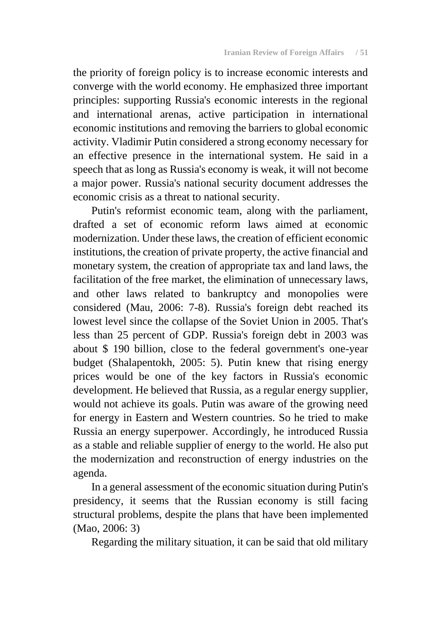the priority of foreign policy is to increase economic interests and converge with the world economy. He emphasized three important principles: supporting Russia's economic interests in the regional and international arenas, active participation in international economic institutions and removing the barriers to global economic activity. Vladimir Putin considered a strong economy necessary for an effective presence in the international system. He said in a speech that as long as Russia's economy is weak, it will not become a major power. Russia's national security document addresses the economic crisis as a threat to national security.

Putin's reformist economic team, along with the parliament, drafted a set of economic reform laws aimed at economic modernization. Under these laws, the creation of efficient economic institutions, the creation of private property, the active financial and monetary system, the creation of appropriate tax and land laws, the facilitation of the free market, the elimination of unnecessary laws, and other laws related to bankruptcy and monopolies were considered (Mau, 2006: 7-8). Russia's foreign debt reached its lowest level since the collapse of the Soviet Union in 2005. That's less than 25 percent of GDP. Russia's foreign debt in 2003 was about \$ 190 billion, close to the federal government's one-year budget (Shalapentokh, 2005: 5). Putin knew that rising energy prices would be one of the key factors in Russia's economic development. He believed that Russia, as a regular energy supplier, would not achieve its goals. Putin was aware of the growing need for energy in Eastern and Western countries. So he tried to make Russia an energy superpower. Accordingly, he introduced Russia as a stable and reliable supplier of energy to the world. He also put the modernization and reconstruction of energy industries on the agenda.

In a general assessment of the economic situation during Putin's presidency, it seems that the Russian economy is still facing structural problems, despite the plans that have been implemented (Mao, 2006: 3)

Regarding the military situation, it can be said that old military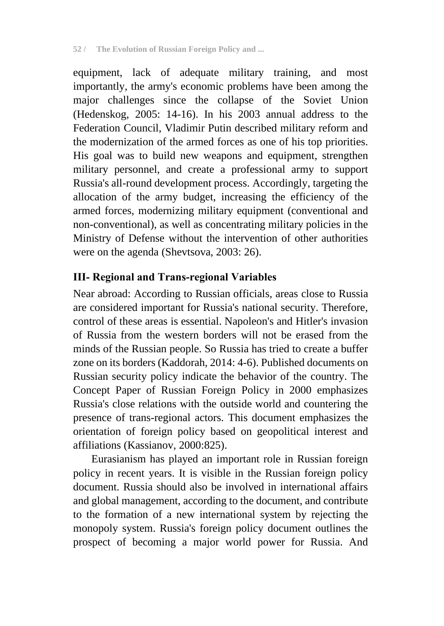equipment, lack of adequate military training, and most importantly, the army's economic problems have been among the major challenges since the collapse of the Soviet Union (Hedenskog, 2005: 14-16). In his 2003 annual address to the Federation Council, Vladimir Putin described military reform and the modernization of the armed forces as one of his top priorities. His goal was to build new weapons and equipment, strengthen military personnel, and create a professional army to support Russia's all-round development process. Accordingly, targeting the allocation of the army budget, increasing the efficiency of the armed forces, modernizing military equipment (conventional and non-conventional), as well as concentrating military policies in the Ministry of Defense without the intervention of other authorities were on the agenda (Shevtsova, 2003: 26).

## **III- Regional and Trans-regional Variables**

Near abroad: According to Russian officials, areas close to Russia are considered important for Russia's national security. Therefore, control of these areas is essential. Napoleon's and Hitler's invasion of Russia from the western borders will not be erased from the minds of the Russian people. So Russia has tried to create a buffer zone on its borders (Kaddorah, 2014: 4-6). Published documents on Russian security policy indicate the behavior of the country. The Concept Paper of Russian Foreign Policy in 2000 emphasizes Russia's close relations with the outside world and countering the presence of trans-regional actors. This document emphasizes the orientation of foreign policy based on geopolitical interest and affiliations (Kassianov, 2000:825).

Eurasianism has played an important role in Russian foreign policy in recent years. It is visible in the Russian foreign policy document. Russia should also be involved in international affairs and global management, according to the document, and contribute to the formation of a new international system by rejecting the monopoly system. Russia's foreign policy document outlines the prospect of becoming a major world power for Russia. And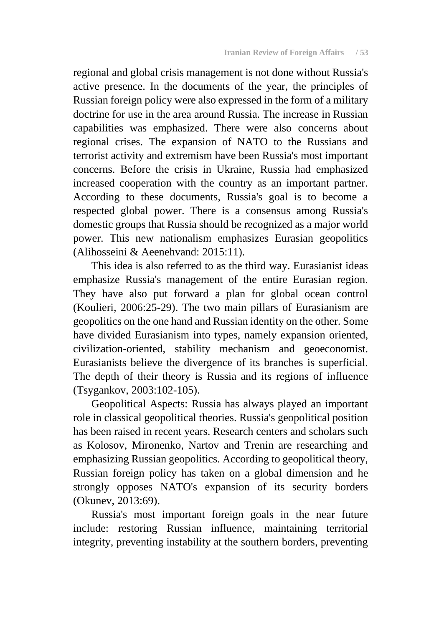regional and global crisis management is not done without Russia's active presence. In the documents of the year, the principles of Russian foreign policy were also expressed in the form of a military doctrine for use in the area around Russia. The increase in Russian capabilities was emphasized. There were also concerns about regional crises. The expansion of NATO to the Russians and terrorist activity and extremism have been Russia's most important concerns. Before the crisis in Ukraine, Russia had emphasized increased cooperation with the country as an important partner. According to these documents, Russia's goal is to become a respected global power. There is a consensus among Russia's domestic groups that Russia should be recognized as a major world power. This new nationalism emphasizes Eurasian geopolitics (Alihosseini & Aeenehvand: 2015:11).

This idea is also referred to as the third way. Eurasianist ideas emphasize Russia's management of the entire Eurasian region. They have also put forward a plan for global ocean control (Koulieri, 2006:25-29). The two main pillars of Eurasianism are geopolitics on the one hand and Russian identity on the other. Some have divided Eurasianism into types, namely expansion oriented, civilization-oriented, stability mechanism and geoeconomist. Eurasianists believe the divergence of its branches is superficial. The depth of their theory is Russia and its regions of influence (Tsygankov, 2003:102-105).

Geopolitical Aspects: Russia has always played an important role in classical geopolitical theories. Russia's geopolitical position has been raised in recent years. Research centers and scholars such as Kolosov, Mironenko, Nartov and Trenin are researching and emphasizing Russian geopolitics. According to geopolitical theory, Russian foreign policy has taken on a global dimension and he strongly opposes NATO's expansion of its security borders (Okunev, 2013:69).

Russia's most important foreign goals in the near future include: restoring Russian influence, maintaining territorial integrity, preventing instability at the southern borders, preventing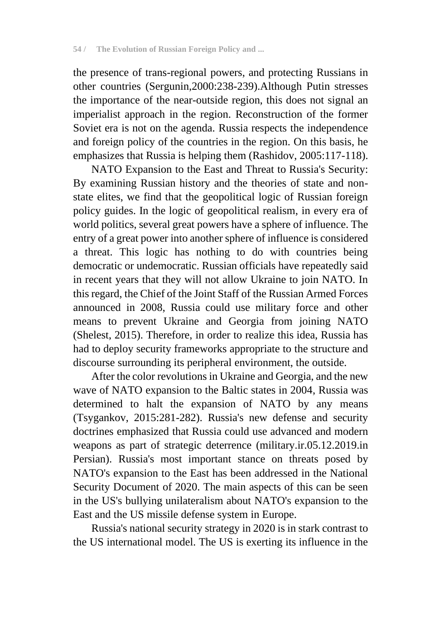the presence of trans-regional powers, and protecting Russians in other countries (Sergunin,2000:238-239).Although Putin stresses the importance of the near-outside region, this does not signal an imperialist approach in the region. Reconstruction of the former Soviet era is not on the agenda. Russia respects the independence and foreign policy of the countries in the region. On this basis, he emphasizes that Russia is helping them (Rashidov, 2005:117-118).

NATO Expansion to the East and Threat to Russia's Security: By examining Russian history and the theories of state and nonstate elites, we find that the geopolitical logic of Russian foreign policy guides. In the logic of geopolitical realism, in every era of world politics, several great powers have a sphere of influence. The entry of a great power into another sphere of influence is considered a threat. This logic has nothing to do with countries being democratic or undemocratic. Russian officials have repeatedly said in recent years that they will not allow Ukraine to join NATO. In this regard, the Chief of the Joint Staff of the Russian Armed Forces announced in 2008, Russia could use military force and other means to prevent Ukraine and Georgia from joining NATO (Shelest, 2015). Therefore, in order to realize this idea, Russia has had to deploy security frameworks appropriate to the structure and discourse surrounding its peripheral environment, the outside.

After the color revolutions in Ukraine and Georgia, and the new wave of NATO expansion to the Baltic states in 2004, Russia was determined to halt the expansion of NATO by any means (Tsygankov, 2015:281-282). Russia's new defense and security doctrines emphasized that Russia could use advanced and modern weapons as part of strategic deterrence (military.ir.05.12.2019.in Persian). Russia's most important stance on threats posed by NATO's expansion to the East has been addressed in the National Security Document of 2020. The main aspects of this can be seen in the US's bullying unilateralism about NATO's expansion to the East and the US missile defense system in Europe.

Russia's national security strategy in 2020 is in stark contrast to the US international model. The US is exerting its influence in the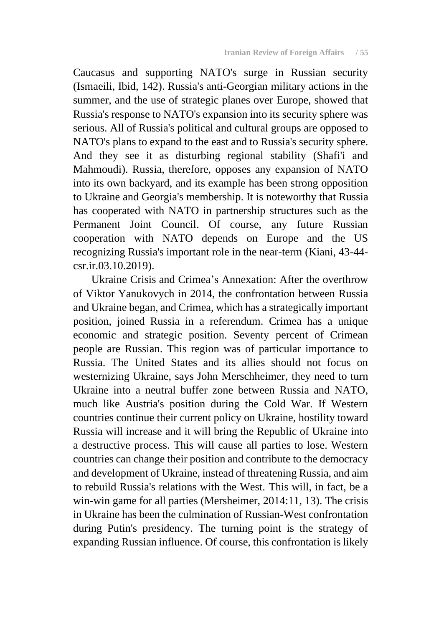Caucasus and supporting NATO's surge in Russian security (Ismaeili, Ibid, 142). Russia's anti-Georgian military actions in the summer, and the use of strategic planes over Europe, showed that Russia's response to NATO's expansion into its security sphere was serious. All of Russia's political and cultural groups are opposed to NATO's plans to expand to the east and to Russia's security sphere. And they see it as disturbing regional stability (Shafi'i and Mahmoudi). Russia, therefore, opposes any expansion of NATO into its own backyard, and its example has been strong opposition to Ukraine and Georgia's membership. It is noteworthy that Russia has cooperated with NATO in partnership structures such as the Permanent Joint Council. Of course, any future Russian cooperation with NATO depends on Europe and the US recognizing Russia's important role in the near-term (Kiani, 43-44 csr.ir.03.10.2019).

Ukraine Crisis and Crimea's Annexation: After the overthrow of Viktor Yanukovych in 2014, the confrontation between Russia and Ukraine began, and Crimea, which has a strategically important position, joined Russia in a referendum. Crimea has a unique economic and strategic position. Seventy percent of Crimean people are Russian. This region was of particular importance to Russia. The United States and its allies should not focus on westernizing Ukraine, says John Merschheimer, they need to turn Ukraine into a neutral buffer zone between Russia and NATO, much like Austria's position during the Cold War. If Western countries continue their current policy on Ukraine, hostility toward Russia will increase and it will bring the Republic of Ukraine into a destructive process. This will cause all parties to lose. Western countries can change their position and contribute to the democracy and development of Ukraine, instead of threatening Russia, and aim to rebuild Russia's relations with the West. This will, in fact, be a win-win game for all parties (Mersheimer, 2014:11, 13). The crisis in Ukraine has been the culmination of Russian-West confrontation during Putin's presidency. The turning point is the strategy of expanding Russian influence. Of course, this confrontation is likely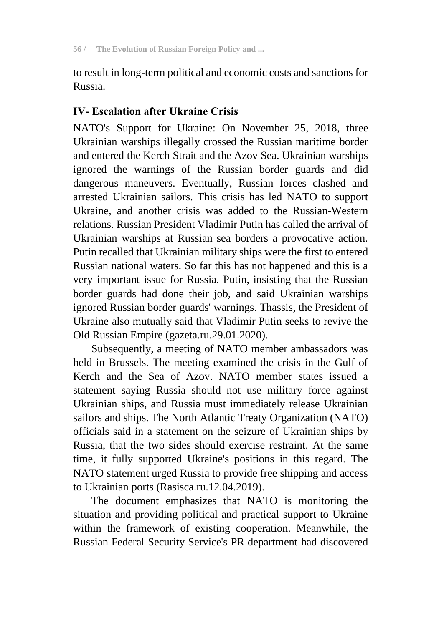to result in long-term political and economic costs and sanctions for Russia.

## **IV- Escalation after Ukraine Crisis**

NATO's Support for Ukraine: On November 25, 2018, three Ukrainian warships illegally crossed the Russian maritime border and entered the Kerch Strait and the Azov Sea. Ukrainian warships ignored the warnings of the Russian border guards and did dangerous maneuvers. Eventually, Russian forces clashed and arrested Ukrainian sailors. This crisis has led NATO to support Ukraine, and another crisis was added to the Russian-Western relations. Russian President Vladimir Putin has called the arrival of Ukrainian warships at Russian sea borders a provocative action. Putin recalled that Ukrainian military ships were the first to entered Russian national waters. So far this has not happened and this is a very important issue for Russia. Putin, insisting that the Russian border guards had done their job, and said Ukrainian warships ignored Russian border guards' warnings. Thassis, the President of Ukraine also mutually said that Vladimir Putin seeks to revive the Old Russian Empire (gazeta.ru.29.01.2020).

Subsequently, a meeting of NATO member ambassadors was held in Brussels. The meeting examined the crisis in the Gulf of Kerch and the Sea of Azov. NATO member states issued a statement saying Russia should not use military force against Ukrainian ships, and Russia must immediately release Ukrainian sailors and ships. The North Atlantic Treaty Organization (NATO) officials said in a statement on the seizure of Ukrainian ships by Russia, that the two sides should exercise restraint. At the same time, it fully supported Ukraine's positions in this regard. The NATO statement urged Russia to provide free shipping and access to Ukrainian ports (Rasisca.ru.12.04.2019).

The document emphasizes that NATO is monitoring the situation and providing political and practical support to Ukraine within the framework of existing cooperation. Meanwhile, the Russian Federal Security Service's PR department had discovered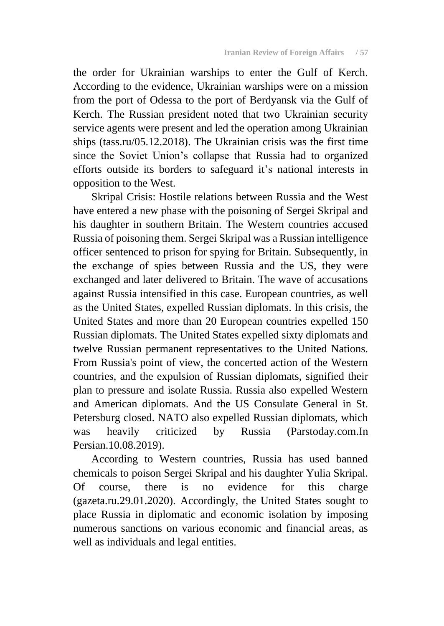the order for Ukrainian warships to enter the Gulf of Kerch. According to the evidence, Ukrainian warships were on a mission from the port of Odessa to the port of Berdyansk via the Gulf of Kerch. The Russian president noted that two Ukrainian security service agents were present and led the operation among Ukrainian ships (tass.ru/05.12.2018). The Ukrainian crisis was the first time since the Soviet Union's collapse that Russia had to organized efforts outside its borders to safeguard it's national interests in opposition to the West.

Skripal Crisis: Hostile relations between Russia and the West have entered a new phase with the poisoning of Sergei Skripal and his daughter in southern Britain. The Western countries accused Russia of poisoning them. Sergei Skripal was a Russian intelligence officer sentenced to prison for spying for Britain. Subsequently, in the exchange of spies between Russia and the US, they were exchanged and later delivered to Britain. The wave of accusations against Russia intensified in this case. European countries, as well as the United States, expelled Russian diplomats. In this crisis, the United States and more than 20 European countries expelled 150 Russian diplomats. The United States expelled sixty diplomats and twelve Russian permanent representatives to the United Nations. From Russia's point of view, the concerted action of the Western countries, and the expulsion of Russian diplomats, signified their plan to pressure and isolate Russia. Russia also expelled Western and American diplomats. And the US Consulate General in St. Petersburg closed. NATO also expelled Russian diplomats, which was heavily criticized by Russia (Parstoday.com.In Persian.10.08.2019).

According to Western countries, Russia has used banned chemicals to poison Sergei Skripal and his daughter Yulia Skripal. Of course, there is no evidence for this charge (gazeta.ru.29.01.2020). Accordingly, the United States sought to place Russia in diplomatic and economic isolation by imposing numerous sanctions on various economic and financial areas, as well as individuals and legal entities.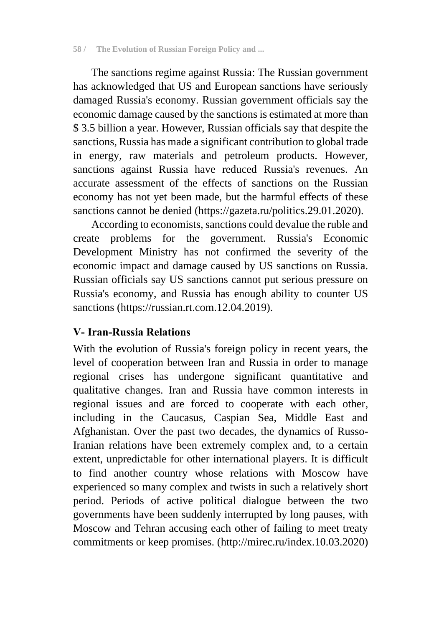The sanctions regime against Russia: The Russian government has acknowledged that US and European sanctions have seriously damaged Russia's economy. Russian government officials say the economic damage caused by the sanctions is estimated at more than \$ 3.5 billion a year. However, Russian officials say that despite the sanctions, Russia has made a significant contribution to global trade in energy, raw materials and petroleum products. However, sanctions against Russia have reduced Russia's revenues. An accurate assessment of the effects of sanctions on the Russian economy has not yet been made, but the harmful effects of these sanctions cannot be denied (https://gazeta.ru/politics.29.01.2020).

According to economists, sanctions could devalue the ruble and create problems for the government. Russia's Economic Development Ministry has not confirmed the severity of the economic impact and damage caused by US sanctions on Russia. Russian officials say US sanctions cannot put serious pressure on Russia's economy, and Russia has enough ability to counter US sanctions [\(https://russian.rt.com.1](https://russian.rt.com/)2.04.2019).

## **V- Iran-Russia Relations**

With the evolution of Russia's foreign policy in recent years, the level of cooperation between Iran and Russia in order to manage regional crises has undergone significant quantitative and qualitative changes. Iran and Russia have common interests in regional issues and are forced to cooperate with each other, including in the Caucasus, Caspian Sea, Middle East and Afghanistan. Over the past two decades, the dynamics of Russo-Iranian relations have been extremely complex and, to a certain extent, unpredictable for other international players. It is difficult to find another country whose relations with Moscow have experienced so many complex and twists in such a relatively short period. Periods of active political dialogue between the two governments have been suddenly interrupted by long pauses, with Moscow and Tehran accusing each other of failing to meet treaty commitments or keep promises. (http://mirec.ru/index.10.03.2020)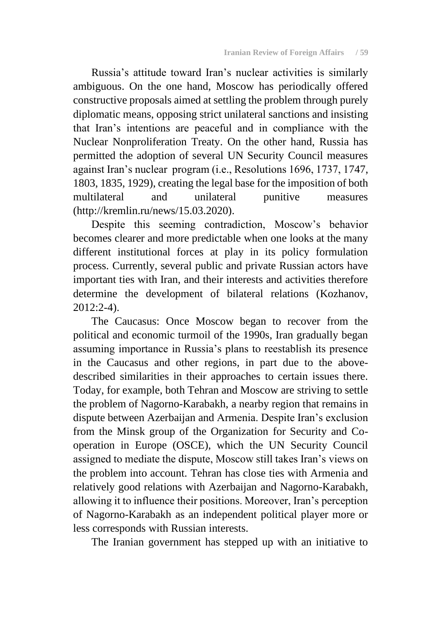Russia's attitude toward Iran's nuclear activities is similarly ambiguous. On the one hand, Moscow has periodically offered constructive proposals aimed at settling the problem through purely diplomatic means, opposing strict unilateral sanctions and insisting that Iran's intentions are peaceful and in compliance with the Nuclear Nonproliferation Treaty. On the other hand, Russia has permitted the adoption of several UN Security Council measures against Iran's nuclear program (i.e., Resolutions 1696, 1737, 1747, 1803, 1835, 1929), creating the legal base for the imposition of both multilateral and unilateral punitive measures (http://kremlin.ru/news/15.03.2020).

Despite this seeming contradiction, Moscow's behavior becomes clearer and more predictable when one looks at the many different institutional forces at play in its policy formulation process. Currently, several public and private Russian actors have important ties with Iran, and their interests and activities therefore determine the development of bilateral relations (Kozhanov,  $2012:2-4$ ).

The Caucasus: Once Moscow began to recover from the political and economic turmoil of the 1990s, Iran gradually began assuming importance in Russia's plans to reestablish its presence in the Caucasus and other regions, in part due to the abovedescribed similarities in their approaches to certain issues there. Today, for example, both Tehran and Moscow are striving to settle the problem of Nagorno-Karabakh, a nearby region that remains in dispute between Azerbaijan and Armenia. Despite Iran's exclusion from the Minsk group of the Organization for Security and Cooperation in Europe (OSCE), which the UN Security Council assigned to mediate the dispute, Moscow still takes Iran's views on the problem into account. Tehran has close ties with Armenia and relatively good relations with Azerbaijan and Nagorno-Karabakh, allowing it to influence their positions. Moreover, Iran's perception of Nagorno-Karabakh as an independent political player more or less corresponds with Russian interests.

The Iranian government has stepped up with an initiative to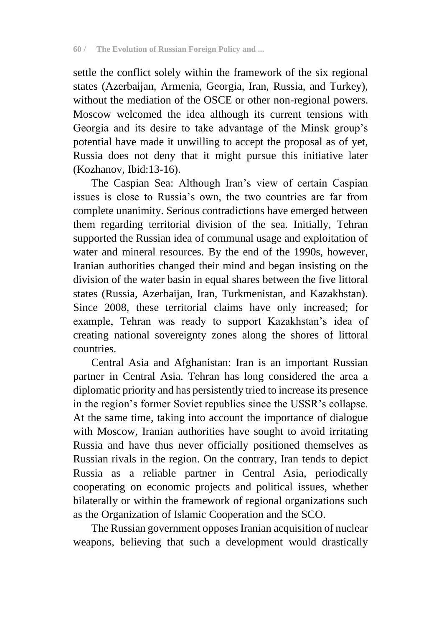settle the conflict solely within the framework of the six regional states (Azerbaijan, Armenia, Georgia, Iran, Russia, and Turkey), without the mediation of the OSCE or other non-regional powers. Moscow welcomed the idea although its current tensions with Georgia and its desire to take advantage of the Minsk group's potential have made it unwilling to accept the proposal as of yet, Russia does not deny that it might pursue this initiative later (Kozhanov, Ibid:13-16).

The Caspian Sea: Although Iran's view of certain Caspian issues is close to Russia's own, the two countries are far from complete unanimity. Serious contradictions have emerged between them regarding territorial division of the sea. Initially, Tehran supported the Russian idea of communal usage and exploitation of water and mineral resources. By the end of the 1990s, however, Iranian authorities changed their mind and began insisting on the division of the water basin in equal shares between the five littoral states (Russia, Azerbaijan, Iran, Turkmenistan, and Kazakhstan). Since 2008, these territorial claims have only increased; for example, Tehran was ready to support Kazakhstan's idea of creating national sovereignty zones along the shores of littoral countries.

Central Asia and Afghanistan: Iran is an important Russian partner in Central Asia. Tehran has long considered the area a diplomatic priority and has persistently tried to increase its presence in the region's former Soviet republics since the USSR's collapse. At the same time, taking into account the importance of dialogue with Moscow, Iranian authorities have sought to avoid irritating Russia and have thus never officially positioned themselves as Russian rivals in the region. On the contrary, Iran tends to depict Russia as a reliable partner in Central Asia, periodically cooperating on economic projects and political issues, whether bilaterally or within the framework of regional organizations such as the Organization of Islamic Cooperation and the SCO.

The Russian government opposes Iranian acquisition of nuclear weapons, believing that such a development would drastically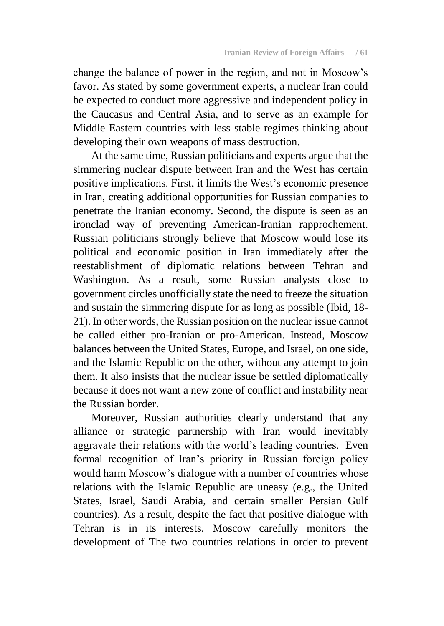change the balance of power in the region, and not in Moscow's favor. As stated by some government experts, a nuclear Iran could be expected to conduct more aggressive and independent policy in the Caucasus and Central Asia, and to serve as an example for Middle Eastern countries with less stable regimes thinking about developing their own weapons of mass destruction.

At the same time, Russian politicians and experts argue that the simmering nuclear dispute between Iran and the West has certain positive implications. First, it limits the West's economic presence in Iran, creating additional opportunities for Russian companies to penetrate the Iranian economy. Second, the dispute is seen as an ironclad way of preventing American-Iranian rapprochement. Russian politicians strongly believe that Moscow would lose its political and economic position in Iran immediately after the reestablishment of diplomatic relations between Tehran and Washington. As a result, some Russian analysts close to government circles unofficially state the need to freeze the situation and sustain the simmering dispute for as long as possible (Ibid, 18- 21). In other words, the Russian position on the nuclear issue cannot be called either pro-Iranian or pro-American. Instead, Moscow balances between the United States, Europe, and Israel, on one side, and the Islamic Republic on the other, without any attempt to join them. It also insists that the nuclear issue be settled diplomatically because it does not want a new zone of conflict and instability near the Russian border.

Moreover, Russian authorities clearly understand that any alliance or strategic partnership with Iran would inevitably aggravate their relations with the world's leading countries. Even formal recognition of Iran's priority in Russian foreign policy would harm Moscow's dialogue with a number of countries whose relations with the Islamic Republic are uneasy (e.g., the United States, Israel, Saudi Arabia, and certain smaller Persian Gulf countries). As a result, despite the fact that positive dialogue with Tehran is in its interests, Moscow carefully monitors the development of The two countries relations in order to prevent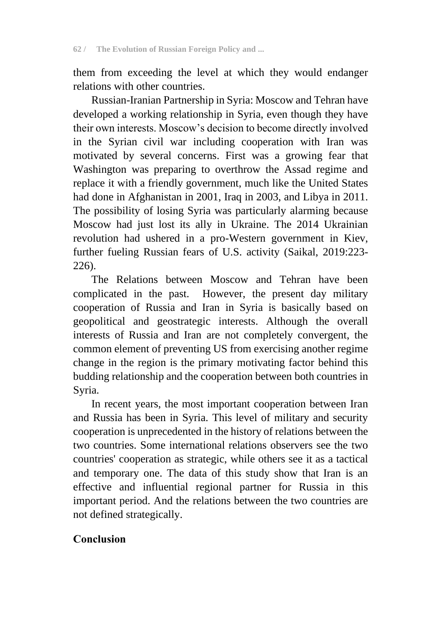them from exceeding the level at which they would endanger relations with other countries.

Russian-Iranian Partnership in Syria: Moscow and Tehran have developed a working relationship in Syria, even though they have their own interests. Moscow's decision to become directly involved in the Syrian civil war including cooperation with Iran was motivated by several concerns. First was a growing fear that Washington was preparing to overthrow the Assad regime and replace it with a friendly government, much like the United States had done in Afghanistan in 2001, Iraq in 2003, and Libya in 2011. The possibility of losing Syria was particularly alarming because Moscow had just lost its ally in Ukraine. The 2014 Ukrainian revolution had ushered in a pro-Western government in Kiev, further fueling Russian fears of U.S. activity (Saikal, 2019:223- 226).

The Relations between Moscow and Tehran have been complicated in the past. However, the present day military cooperation of Russia and Iran in Syria is basically based on geopolitical and geostrategic interests. Although the overall interests of Russia and Iran are not completely convergent, the common element of preventing US from exercising another regime change in the region is the primary motivating factor behind this budding relationship and the cooperation between both countries in Syria.

In recent years, the most important cooperation between Iran and Russia has been in Syria. This level of military and security cooperation is unprecedented in the history of relations between the two countries. Some international relations observers see the two countries' cooperation as strategic, while others see it as a tactical and temporary one. The data of this study show that Iran is an effective and influential regional partner for Russia in this important period. And the relations between the two countries are not defined strategically.

## **Conclusion**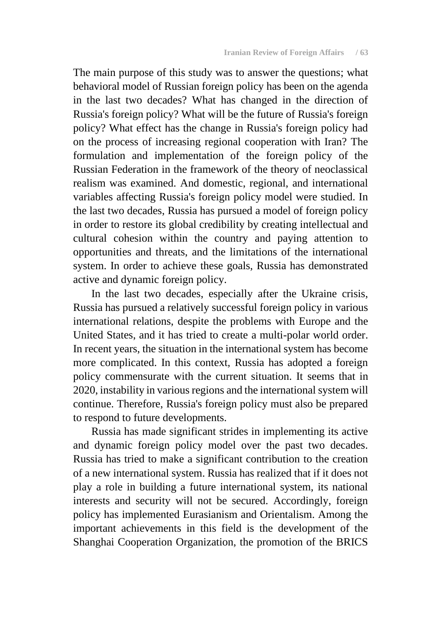The main purpose of this study was to answer the questions; what behavioral model of Russian foreign policy has been on the agenda in the last two decades? What has changed in the direction of Russia's foreign policy? What will be the future of Russia's foreign policy? What effect has the change in Russia's foreign policy had on the process of increasing regional cooperation with Iran? The formulation and implementation of the foreign policy of the Russian Federation in the framework of the theory of neoclassical realism was examined. And domestic, regional, and international variables affecting Russia's foreign policy model were studied. In the last two decades, Russia has pursued a model of foreign policy in order to restore its global credibility by creating intellectual and cultural cohesion within the country and paying attention to opportunities and threats, and the limitations of the international system. In order to achieve these goals, Russia has demonstrated active and dynamic foreign policy.

In the last two decades, especially after the Ukraine crisis, Russia has pursued a relatively successful foreign policy in various international relations, despite the problems with Europe and the United States, and it has tried to create a multi-polar world order. In recent years, the situation in the international system has become more complicated. In this context, Russia has adopted a foreign policy commensurate with the current situation. It seems that in 2020, instability in various regions and the international system will continue. Therefore, Russia's foreign policy must also be prepared to respond to future developments.

Russia has made significant strides in implementing its active and dynamic foreign policy model over the past two decades. Russia has tried to make a significant contribution to the creation of a new international system. Russia has realized that if it does not play a role in building a future international system, its national interests and security will not be secured. Accordingly, foreign policy has implemented Eurasianism and Orientalism. Among the important achievements in this field is the development of the Shanghai Cooperation Organization, the promotion of the BRICS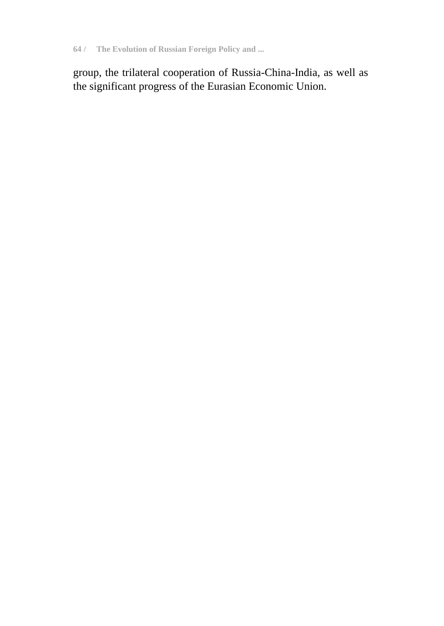**64 / The Evolution of Russian Foreign Policy and ...**

group, the trilateral cooperation of Russia-China-India, as well as the significant progress of the Eurasian Economic Union.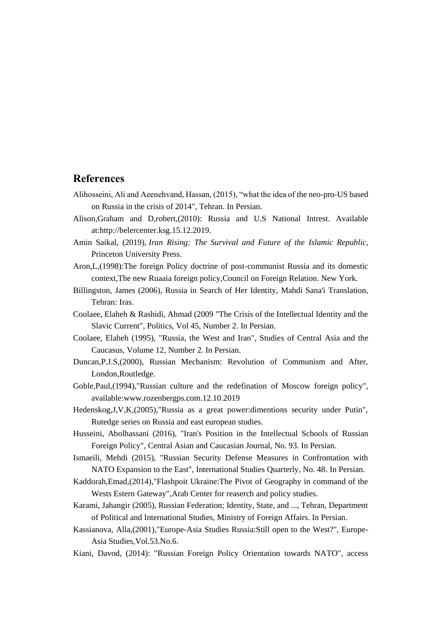#### **References**

- Alihosseini, Ali and Aeenehvand, Hassan, (2015), "what the idea of the neo-pro-US based on Russia in the crisis of 2014", Tehran. In Persian.
- Alison,Graham and D,robert,(2010): Russia and U.S National Intrest. Available at:http://belercenter.ksg.15.12.2019.
- Amin Saikal, (2019), *Iran Rising: The Survival and Future of the Islamic Republic*, Princeton University Press.
- Aron,L,(1998):The foreign Policy doctrine of post-communist Russia and its domestic context,The new Ruaaia foreign policy,Council on Foreign Relation. New York.
- Billingston, James (2006), Russia in Search of Her Identity, Mahdi Sana'i Translation, Tehran: Iras.
- Coolaee, Elaheh & Rashidi, Ahmad (2009 "The Crisis of the Intellectual Identity and the Slavic Current", Politics, Vol 45, Number 2. In Persian.
- Coolaee, Elaheh (1995), "Russia, the West and Iran", Studies of Central Asia and the Caucasus, Volume 12, Number 2. In Persian.
- Duncan,P.J.S,(2000), Russian Mechanism: Revolution of Communism and After, London,Routledge.
- Goble,Paul,(1994),"Russian culture and the redefination of Moscow foreign policy", available:www.rozenbergps.com.12.10.2019
- Hedenskog,J,V,K,(2005),"Russia as a great power:dimentions security under Putin", Rutedge series on Russia and east european studies.
- Husseini, Abolhassani (2016), "Iran's Position in the Intellectual Schools of Russian Foreign Policy", Central Asian and Caucasian Journal, No. 93. In Persian.
- Ismaeili, Mehdi (2015), "Russian Security Defense Measures in Confrontation with NATO Expansion to the East", International Studies Quarterly, No. 48. In Persian.
- Kaddorah,Emad,(2014),"Flashpoit Ukraine:The Pivot of Geography in command of the Wests Estern Gateway",Arab Center for reaserch and policy studies.
- Karami, Jahangir (2005), Russian Federation; Identity, State, and ..., Tehran, Department of Political and International Studies, Ministry of Foreign Affairs. In Persian.
- Kassianova, Alla,(2001),"Europe-Asia Studies Russia:Still open to the West?", Europe-Asia Studies,Vol.53.No.6.
- Kiani, Davod, (2014): "Russian Foreign Policy Orientation towards NATO", access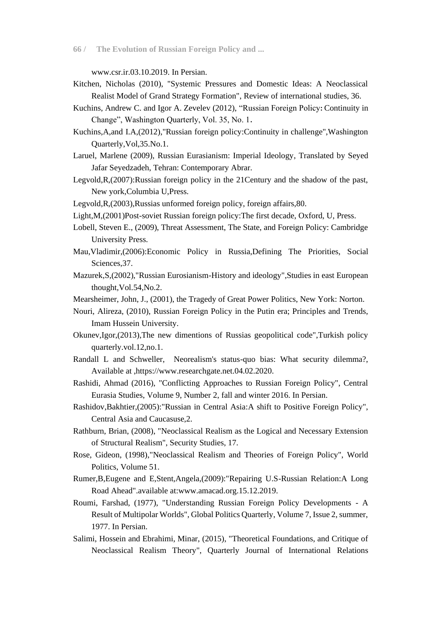**66 / The Evolution of Russian Foreign Policy and ...**

www.csr.ir.03.10.2019. In Persian.

- Kitchen, Nicholas (2010), "Systemic Pressures and Domestic Ideas: A Neoclassical Realist Model of Grand Strategy Formation", Review of international studies, 36.
- Kuchins, Andrew C. and Igor A. Zevelev (2012), "Russian Foreign Policy : Continuity in Change", Washington Quarterly, Vol. 35, No. 1 .
- Kuchins,A,and I.A,(2012),"Russian foreign policy:Continuity in challenge",Washington Quarterly,Vol,35.No.1.
- Laruel, Marlene (2009), Russian Eurasianism: Imperial Ideology, Translated by Seyed Jafar Seyedzadeh, Tehran: Contemporary Abrar.
- Legvold,R,(2007):Russian foreign policy in the 21Century and the shadow of the past, New york,Columbia U,Press.
- Legvold,R,(2003),Russias unformed foreign policy, foreign affairs,80.
- Light,M,(2001)Post-soviet Russian foreign policy:The first decade, Oxford, U, Press.
- Lobell, Steven E., (2009), Threat Assessment, The State, and Foreign Policy: Cambridge University Press.
- Mau,Vladimir,(2006):Economic Policy in Russia,Defining The Priorities, Social Sciences,37.
- Mazurek,S,(2002),"Russian Eurosianism-History and ideology",Studies in east European thought,Vol.54,No.2.
- Mearsheimer, John, J., (2001), the Tragedy of Great Power Politics, New York: Norton.
- Nouri, Alireza, (2010), Russian Foreign Policy in the Putin era; Principles and Trends, Imam Hussein University.
- Okunev,Igor,(2013),The new dimentions of Russias geopolitical code",Turkish policy quarterly.vol.12,no.1.
- Randall L and Schweller, Neorealism's status-quo bias: What security dilemma?, Available at ,https://www.researchgate.net.04.02.2020.
- Rashidi, Ahmad (2016), "Conflicting Approaches to Russian Foreign Policy", Central Eurasia Studies, Volume 9, Number 2, fall and winter 2016. In Persian.
- Rashidov,Bakhtier,(2005):"Russian in Central Asia:A shift to Positive Foreign Policy", Central Asia and Caucasuse,2.
- Rathburn, Brian, (2008), "Neoclassical Realism as the Logical and Necessary Extension of Structural Realism", Security Studies, 17.
- Rose, Gideon, (1998),"Neoclassical Realism and Theories of Foreign Policy", World Politics, Volume 51.
- Rumer,B,Eugene and E,Stent,Angela,(2009):"Repairing U.S-Russian Relation:A Long Road Ahead".available at:www.amacad.org.15.12.2019.
- Roumi, Farshad, (1977), "Understanding Russian Foreign Policy Developments A Result of Multipolar Worlds", Global Politics Quarterly, Volume 7, Issue 2, summer, 1977. In Persian.
- Salimi, Hossein and Ebrahimi, Minar, (2015), "Theoretical Foundations, and Critique of Neoclassical Realism Theory", Quarterly Journal of International Relations